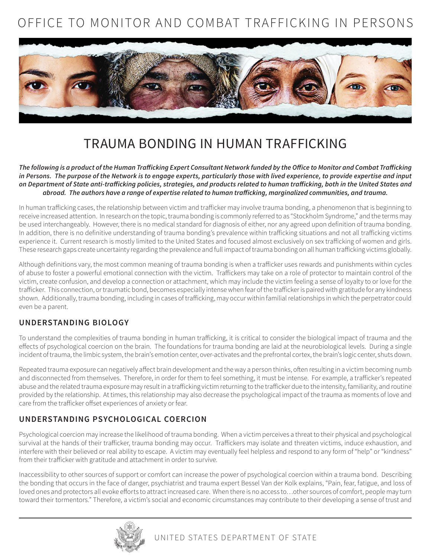# OFFICE TO MONITOR AND COMBAT TRAFFICKING IN PERSONS



## TRAUMA BONDING IN HUMAN TRAFFICKING

*The following is a product of the Human Trafficking Expert Consultant Network funded by the Office to Monitor and Combat Trafficking in Persons. The purpose of the Network is to engage experts, particularly those with lived experience, to provide expertise and input on Department of State anti-trafficking policies, strategies, and products related to human trafficking, both in the United States and abroad. The authors have a range of expertise related to human trafficking, marginalized communities, and trauma.* 

In human trafficking cases, the relationship between victim and trafficker may involve trauma bonding, a phenomenon that is beginning to receive increased attention. In research on the topic, trauma bonding is commonly referred to as "Stockholm Syndrome," and the terms may be used interchangeably. However, there is no medical standard for diagnosis of either, nor any agreed upon definition of trauma bonding. In addition, there is no definitive understanding of trauma bonding's prevalence within trafficking situations and not all trafficking victims experience it. Current research is mostly limited to the United States and focused almost exclusively on sex trafficking of women and girls. These research gaps create uncertainty regarding the prevalence and full impact of trauma bonding on all human trafficking victims globally.

Although definitions vary, the most common meaning of trauma bonding is when a trafficker uses rewards and punishments within cycles of abuse to foster a powerful emotional connection with the victim. Traffickers may take on a role of protector to maintain control of the victim, create confusion, and develop a connection or attachment, which may include the victim feeling a sense of loyalty to or love for the trafficker. This connection, or traumatic bond, becomes especially intense when fear of the trafficker is paired with gratitude for any kindness shown. Additionally, trauma bonding, including in cases of trafficking, may occur within familial relationships in which the perpetrator could even be a parent.

### **UNDERSTANDING BIOLOGY**

To understand the complexities of trauma bonding in human trafficking, it is critical to consider the biological impact of trauma and the effects of psychological coercion on the brain. The foundations for trauma bonding are laid at the neurobiological levels. During a single incident of trauma, the limbic system, the brain's emotion center, over-activates and the prefrontal cortex, the brain's logic center, shuts down.

Repeated trauma exposure can negatively affect brain development and the way a person thinks, often resulting in a victim becoming numb and disconnected from themselves. Therefore, in order for them to feel something, it must be intense. For example, a trafficker's repeated abuse and the related trauma exposure may result in a trafficking victim returning to the trafficker due to the intensity, familiarity, and routine provided by the relationship. At times, this relationship may also decrease the psychological impact of the trauma as moments of love and care from the trafficker offset experiences of anxiety or fear.

### **UNDERSTANDING PSYCHOLOGICAL COERCION**

Psychological coercion may increase the likelihood of trauma bonding. When a victim perceives a threat to their physical and psychological survival at the hands of their trafficker, trauma bonding may occur. Traffickers may isolate and threaten victims, induce exhaustion, and interfere with their believed or real ability to escape. A victim may eventually feel helpless and respond to any form of "help" or "kindness" from their trafficker with gratitude and attachment in order to survive.

Inaccessibility to other sources of support or comfort can increase the power of psychological coercion within a trauma bond. Describing the bonding that occurs in the face of danger, psychiatrist and trauma expert Bessel Van der Kolk explains, "Pain, fear, fatigue, and loss of loved ones and protectors all evoke efforts to attract increased care. When there is no access to…other sources of comfort, people may turn toward their tormentors." Therefore, a victim's social and economic circumstances may contribute to their developing a sense of trust and